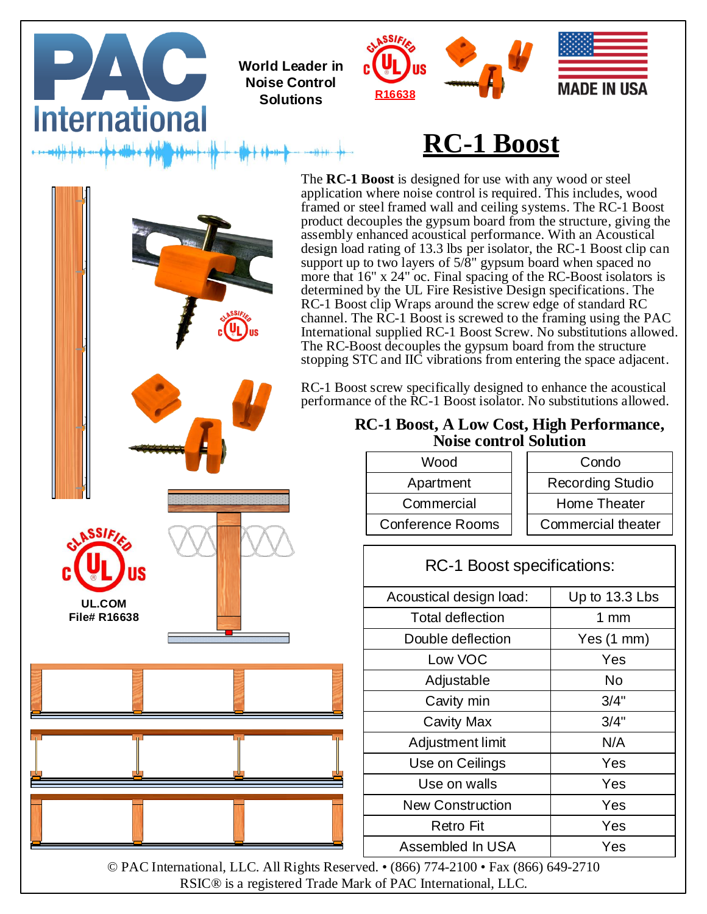

© PAC International, LLC. All Rights Reserved. • (866) 774-2100 • Fax (866) 649-2710 RSIC® is a registered Trade Mark of PAC International, LLC.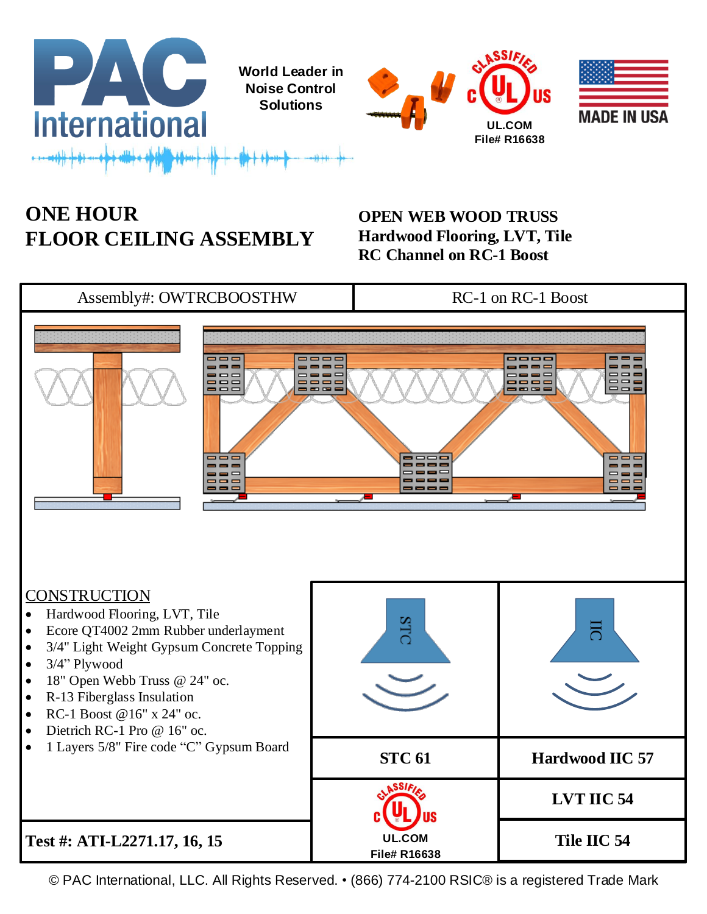





## **ONE HOUR FLOOR CEILING ASSEMBLY**

**OPEN WEB WOOD TRUSS Hardwood Flooring, LVT, Tile RC Channel on RC-1 Boost**

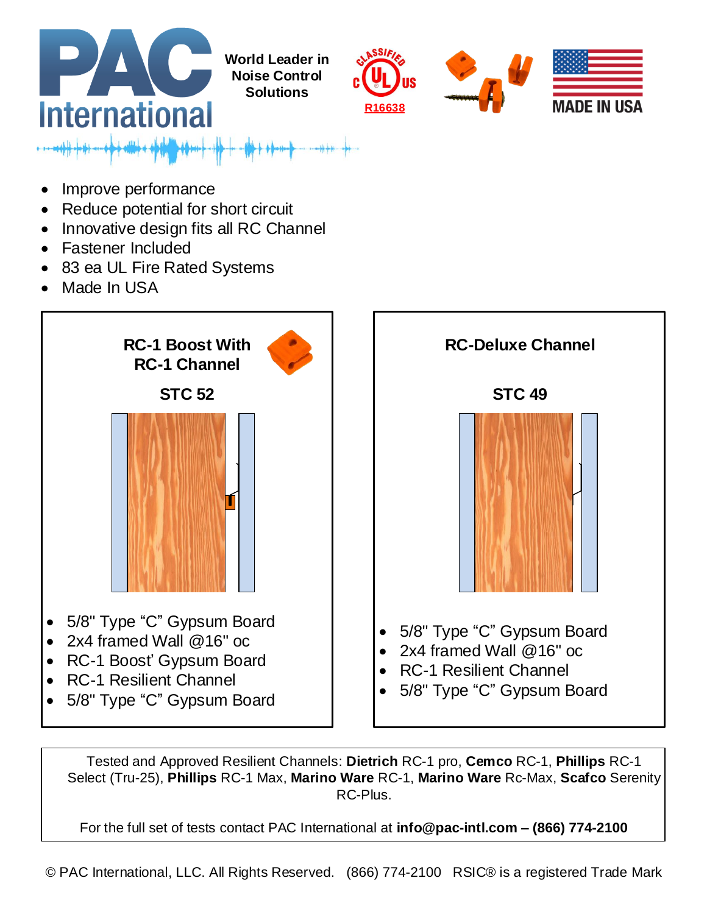

- Improve performance
- Reduce potential for short circuit
- Innovative design fits all RC Channel
- Fastener Included
- 83 ea UL Fire Rated Systems
- Made In USA





Tested and Approved Resilient Channels: **Dietrich** RC-1 pro, **Cemco** RC-1, **Phillips** RC-1 Select (Tru-25), **Phillips** RC-1 Max, **Marino Ware** RC-1, **Marino Ware** Rc-Max, **Scafco** Serenity RC-Plus.

For the full set of tests contact PAC International at **info@pac-intl.com – (866) 774-2100**

© PAC International, LLC. All Rights Reserved. (866) 774-2100 RSIC® is a registered Trade Mark